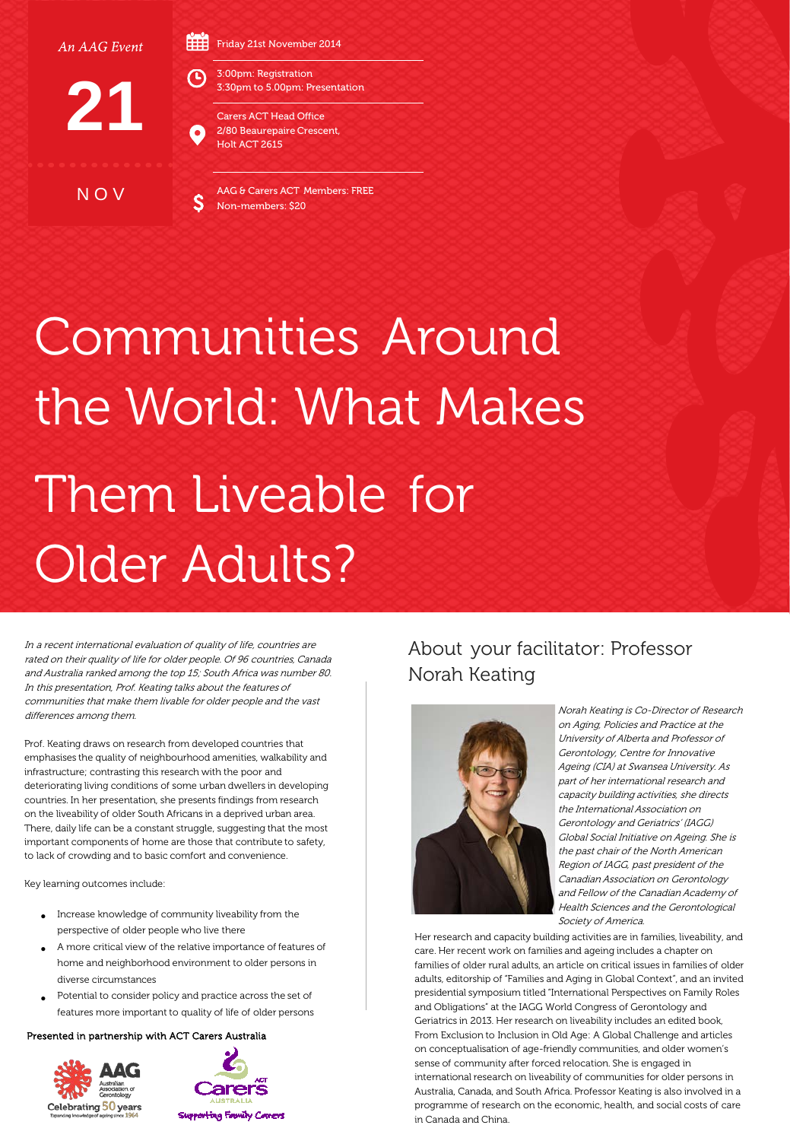An AAG Event

Friday 21st November 2014



N O V

3:00pm: Registration 3:30pm to 5.00pm: Presentation

> Carers ACT Head Office 2/80 Beaurepaire Crescent, Holt ACT 2615

AAG & Carers ACT Members: FREE Non-members: \$20

## Communities Around the World: What Makes Them Liveable for Older Adults?

In a recent international evaluation of quality of life, countries are rated on their quality of life for older people. Of 96 countries, Canada and Australia ranked among the top 15; South Africa was number 80. In this presentation, Prof. Keating talks about the features of communities that make them livable for older people and the vast differences among them.

Prof. Keating draws on research from developed countries that emphasises the quality of neighbourhood amenities, walkability and infrastructure; contrasting this research with the poor and deteriorating living conditions of some urban dwellers in developing countries. In her presentation, she presents findings from research on the liveability of older South Africans in a deprived urban area. There, daily life can be a constant struggle, suggesting that the most important components of home are those that contribute to safety, to lack of crowding and to basic comfort and convenience.

Key learning outcomes include:

- Increase knowledge of community liveability from the perspective of older people who live there
- A more critical view of the relative importance of features of home and neighborhood environment to older persons in diverse circumstances
- Potential to consider policy and practice across the set of features more important to quality of life of older persons

## Presented in partnership with ACT Carers Australia





## About your facilitator: Professor Norah Keating



Norah Keating is Co-Director of Research on Aging, Policies and Practice at the University of Alberta and Professor of Gerontology, Centre for Innovative Ageing (CIA) at Swansea University. As part of her international research and capacity building activities, she directs the International Association on Gerontology and Geriatrics' (IAGG) Global Social Initiative on Ageing. She is the past chair of the North American Region of IAGG, past president of the Canadian Association on Gerontology and Fellow of the Canadian Academy of Health Sciences and the Gerontological Society of America.

Her research and capacity building activities are in families, liveability, and care. Her recent work on families and ageing includes a chapter on families of older rural adults, an article on critical issues in families of older adults, editorship of "Families and Aging in Global Context", and an invited presidential symposium titled "International Perspectives on Family Roles and Obligations" at the IAGG World Congress of Gerontology and Geriatrics in 2013. Her research on liveability includes an edited book, From Exclusion to Inclusion in Old Age: A Global Challenge and articles on conceptualisation of age-friendly communities, and older women's sense of community after forced relocation. She is engaged in international research on liveability of communities for older persons in Australia, Canada, and South Africa. Professor Keating is also involved in a programme of research on the economic, health, and social costs of care in Canada and China.